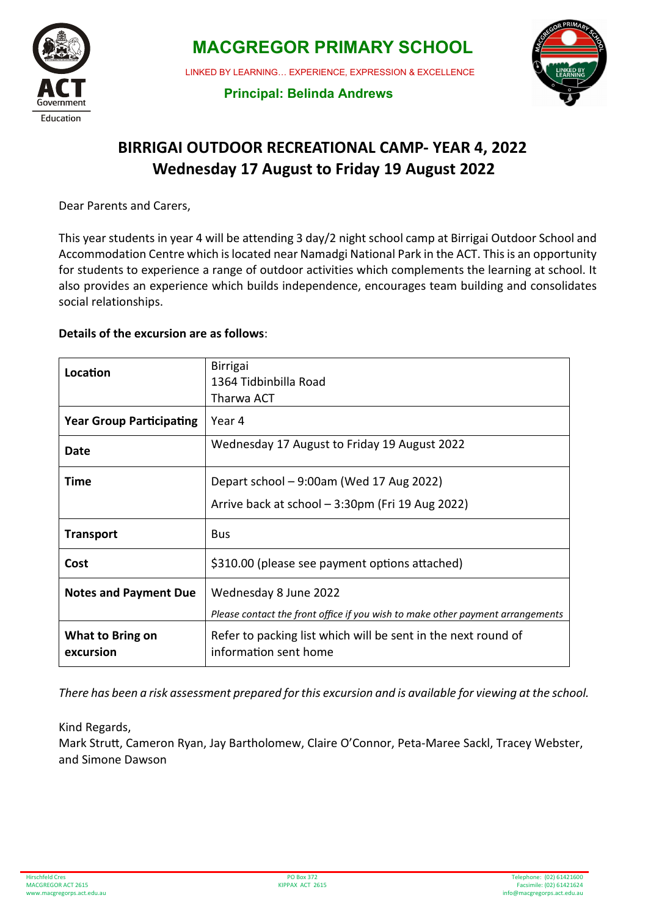

 **MACGREGOR PRIMARY SCHOOL**

LINKED BY LEARNING… EXPERIENCE, EXPRESSION & EXCELLENCE



 **Principal: Belinda Andrews**

## **BIRRIGAI OUTDOOR RECREATIONAL CAMP- YEAR 4, 2022 Wednesday 17 August to Friday 19 August 2022**

Dear Parents and Carers,

This year students in year 4 will be attending 3 day/2 night school camp at Birrigai Outdoor School and Accommodation Centre which is located near Namadgi National Park in the ACT. This is an opportunity for students to experience a range of outdoor activities which complements the learning at school. It also provides an experience which builds independence, encourages team building and consolidates social relationships.

#### **Details of the excursion are as follows**:

| Location                        | <b>Birrigai</b><br>1364 Tidbinbilla Road<br>Tharwa ACT                                 |  |  |
|---------------------------------|----------------------------------------------------------------------------------------|--|--|
| <b>Year Group Participating</b> | Year 4                                                                                 |  |  |
| Date                            | Wednesday 17 August to Friday 19 August 2022                                           |  |  |
| Time                            | Depart school $-9:00$ am (Wed 17 Aug 2022)                                             |  |  |
|                                 | Arrive back at school - 3:30pm (Fri 19 Aug 2022)                                       |  |  |
| <b>Transport</b>                | <b>Bus</b>                                                                             |  |  |
| Cost                            | \$310.00 (please see payment options attached)                                         |  |  |
| <b>Notes and Payment Due</b>    | Wednesday 8 June 2022                                                                  |  |  |
|                                 | Please contact the front office if you wish to make other payment arrangements         |  |  |
| What to Bring on<br>excursion   | Refer to packing list which will be sent in the next round of<br>information sent home |  |  |

*There has been a risk assessment prepared for this excursion and is available for viewing at the school.* 

#### Kind Regards,

Mark Strut, Cameron Ryan, Jay Bartholomew, Claire O'Connor, Peta-Maree Sackl, Tracey Webster, and Simone Dawson